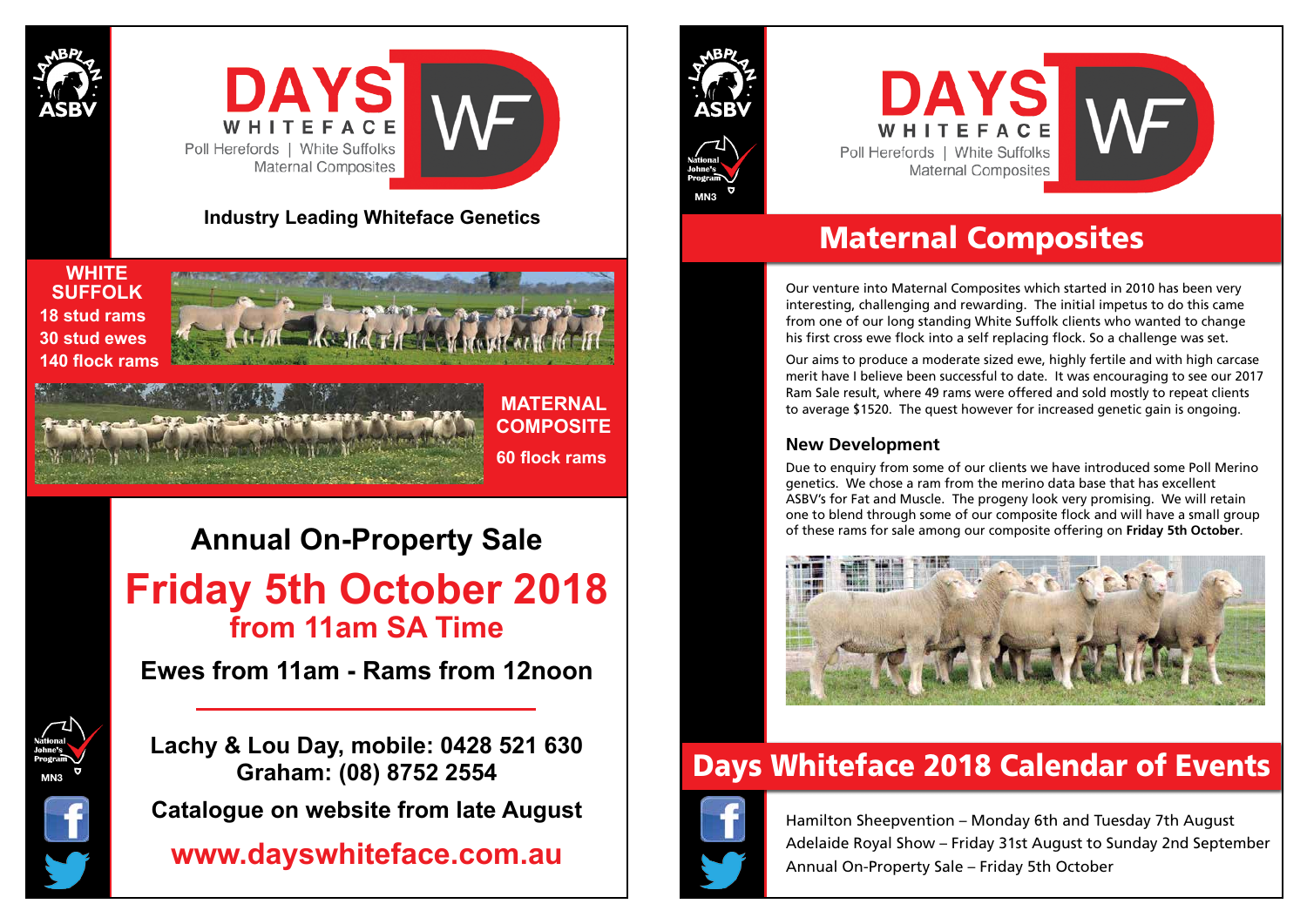



## Maternal Composites

# Days Whiteface 2018 Calendar of Events



Hamilton Sheepvention – Monday 6th and Tuesday 7th August Adelaide Royal Show – Friday 31st August to Sunday 2nd September Annual On-Property Sale – Friday 5th October

Our venture into Maternal Composites which started in 2010 has been very interesting, challenging and rewarding. The initial impetus to do this came from one of our long standing White Suffolk clients who wanted to change his first cross ewe flock into a self replacing flock. So a challenge was set.

Our aims to produce a moderate sized ewe, highly fertile and with high carcase merit have I believe been successful to date. It was encouraging to see our 2017 Ram Sale result, where 49 rams were offered and sold mostly to repeat clients to average \$1520. The quest however for increased genetic gain is ongoing.

### **New Development**

Due to enquiry from some of our clients we have introduced some Poll Merino genetics. We chose a ram from the merino data base that has excellent ASBV's for Fat and Muscle. The progeny look very promising. We will retain one to blend through some of our composite flock and will have a small group of these rams for sale among our composite offering on **Friday 5th October**.







### **Industry Leading Whiteface Genetics**

# **Annual On-Property Sale Friday 5th October 2018 from 11am SA Time**

**Ewes from 11am - Rams from 12noon**

**Lachy & Lou Day, mobile: 0428 521 630 Graham: (08) 8752 2554**

**Catalogue on website from late August**

**www.dayswhiteface.com.au**





**WHITE SUFFOLK 18 stud rams 30 stud ewes 140 flock rams**



**MATERNAL** 

**COMPOSITE**

**60 flock rams**